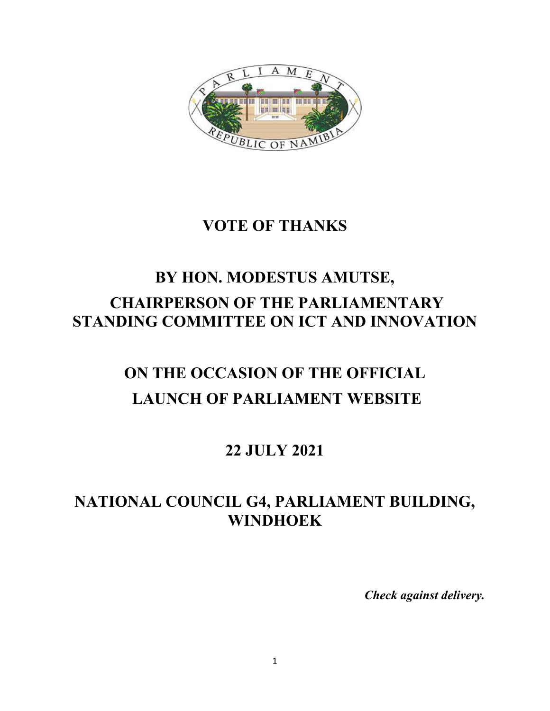

#### **VOTE OF THANKS**

## **BY HON. MODESTUS AMUTSE, CHAIRPERSON OF THE PARLIAMENTARY STANDING COMMITTEE ON ICT AND INNOVATION**

# **ON THE OCCASION OF THE OFFICIAL LAUNCH OF PARLIAMENT WEBSITE**

#### **22 JULY 2021**

### **NATIONAL COUNCIL G4, PARLIAMENT BUILDING, WINDHOEK**

*Check against delivery.*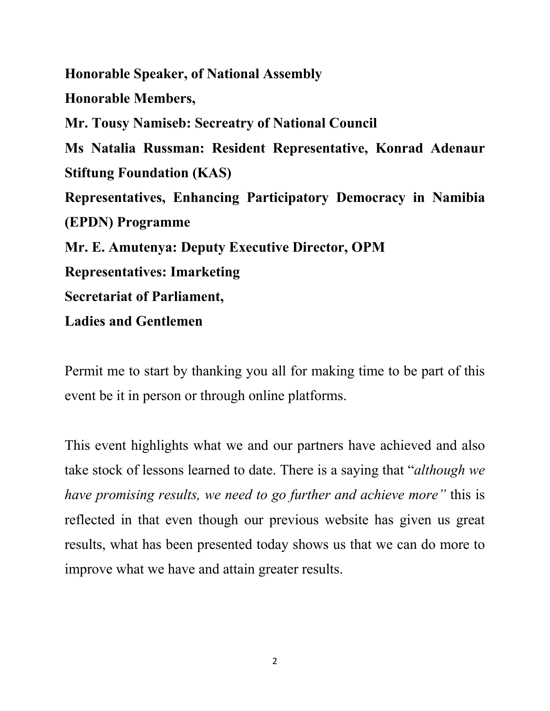**Honorable Speaker, of National Assembly Honorable Members, Mr. Tousy Namiseb: Secreatry of National Council Ms Natalia Russman: Resident Representative, Konrad Adenaur Stiftung Foundation (KAS) Representatives, Enhancing Participatory Democracy in Namibia (EPDN) Programme Mr. E. Amutenya: Deputy Executive Director, OPM Representatives: Imarketing Secretariat of Parliament, Ladies and Gentlemen**

Permit me to start by thanking you all for making time to be part of this event be it in person or through online platforms.

This event highlights what we and our partners have achieved and also take stock of lessons learned to date. There is a saying that "*although we have promising results, we need to go further and achieve more"* this is reflected in that even though our previous website has given us great results, what has been presented today shows us that we can do more to improve what we have and attain greater results.